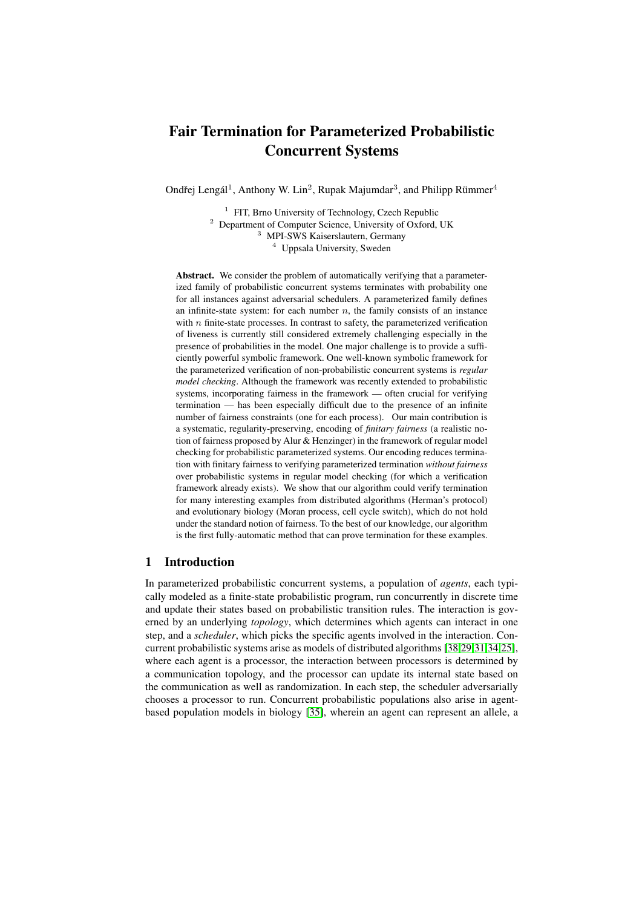# Fair Termination for Parameterized Probabilistic Concurrent Systems

Ondřej Lengál<sup>1</sup>, Anthony W. Lin<sup>2</sup>, Rupak Majumdar<sup>3</sup>, and Philipp Rümmer<sup>4</sup>

<sup>1</sup> FIT, Brno University of Technology, Czech Republic <sup>2</sup> Department of Computer Science, University of Oxford, UK <sup>3</sup> MPI-SWS Kaiserslautern, Germany <sup>4</sup> Uppsala University, Sweden

Abstract. We consider the problem of automatically verifying that a parameterized family of probabilistic concurrent systems terminates with probability one for all instances against adversarial schedulers. A parameterized family defines an infinite-state system: for each number  $n$ , the family consists of an instance with  $n$  finite-state processes. In contrast to safety, the parameterized verification of liveness is currently still considered extremely challenging especially in the presence of probabilities in the model. One major challenge is to provide a sufficiently powerful symbolic framework. One well-known symbolic framework for the parameterized verification of non-probabilistic concurrent systems is *regular model checking*. Although the framework was recently extended to probabilistic systems, incorporating fairness in the framework — often crucial for verifying termination — has been especially difficult due to the presence of an infinite number of fairness constraints (one for each process). Our main contribution is a systematic, regularity-preserving, encoding of *finitary fairness* (a realistic notion of fairness proposed by Alur & Henzinger) in the framework of regular model checking for probabilistic parameterized systems. Our encoding reduces termination with finitary fairness to verifying parameterized termination *without fairness* over probabilistic systems in regular model checking (for which a verification framework already exists). We show that our algorithm could verify termination for many interesting examples from distributed algorithms (Herman's protocol) and evolutionary biology (Moran process, cell cycle switch), which do not hold under the standard notion of fairness. To the best of our knowledge, our algorithm is the first fully-automatic method that can prove termination for these examples.

# 1 Introduction

In parameterized probabilistic concurrent systems, a population of *agents*, each typically modeled as a finite-state probabilistic program, run concurrently in discrete time and update their states based on probabilistic transition rules. The interaction is governed by an underlying *topology*, which determines which agents can interact in one step, and a *scheduler*, which picks the specific agents involved in the interaction. Concurrent probabilistic systems arise as models of distributed algorithms [\[38](#page-16-0)[,29](#page-16-1)[,31](#page-16-2)[,34](#page-16-3)[,25\]](#page-16-4), where each agent is a processor, the interaction between processors is determined by a communication topology, and the processor can update its internal state based on the communication as well as randomization. In each step, the scheduler adversarially chooses a processor to run. Concurrent probabilistic populations also arise in agentbased population models in biology [\[35\]](#page-16-5), wherein an agent can represent an allele, a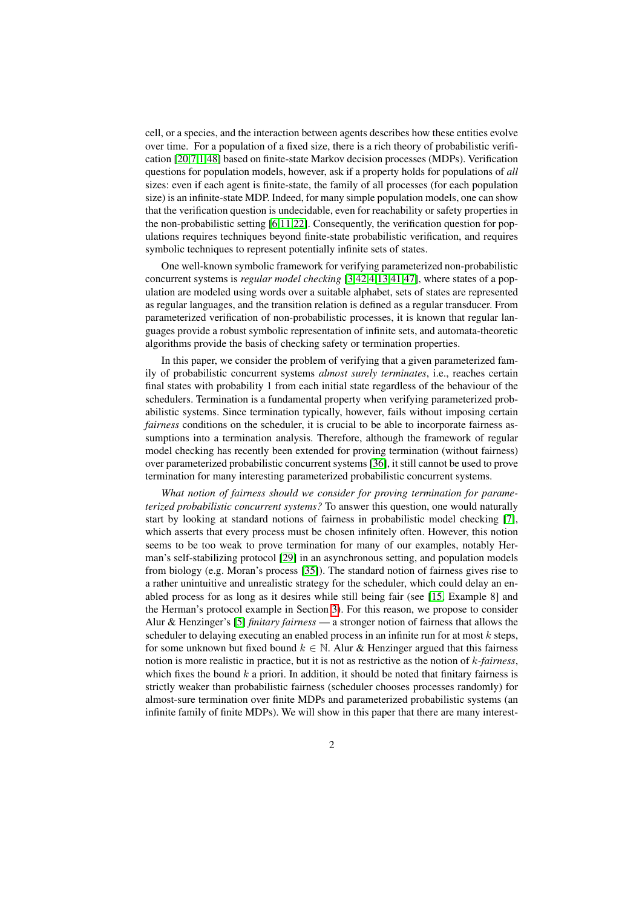cell, or a species, and the interaction between agents describes how these entities evolve over time. For a population of a fixed size, there is a rich theory of probabilistic verification [\[20,](#page-15-0)[7](#page-15-1)[,1](#page-15-2)[,48\]](#page-16-6) based on finite-state Markov decision processes (MDPs). Verification questions for population models, however, ask if a property holds for populations of *all* sizes: even if each agent is finite-state, the family of all processes (for each population size) is an infinite-state MDP. Indeed, for many simple population models, one can show that the verification question is undecidable, even for reachability or safety properties in the non-probabilistic setting [\[6](#page-15-3)[,11](#page-15-4)[,22\]](#page-15-5). Consequently, the verification question for populations requires techniques beyond finite-state probabilistic verification, and requires symbolic techniques to represent potentially infinite sets of states.

One well-known symbolic framework for verifying parameterized non-probabilistic concurrent systems is *regular model checking* [\[3](#page-15-6)[,42](#page-16-7)[,4](#page-15-7)[,13](#page-15-8)[,41](#page-16-8)[,47\]](#page-16-9), where states of a population are modeled using words over a suitable alphabet, sets of states are represented as regular languages, and the transition relation is defined as a regular transducer. From parameterized verification of non-probabilistic processes, it is known that regular languages provide a robust symbolic representation of infinite sets, and automata-theoretic algorithms provide the basis of checking safety or termination properties.

In this paper, we consider the problem of verifying that a given parameterized family of probabilistic concurrent systems *almost surely terminates*, i.e., reaches certain final states with probability 1 from each initial state regardless of the behaviour of the schedulers. Termination is a fundamental property when verifying parameterized probabilistic systems. Since termination typically, however, fails without imposing certain *fairness* conditions on the scheduler, it is crucial to be able to incorporate fairness assumptions into a termination analysis. Therefore, although the framework of regular model checking has recently been extended for proving termination (without fairness) over parameterized probabilistic concurrent systems [\[36\]](#page-16-10), it still cannot be used to prove termination for many interesting parameterized probabilistic concurrent systems.

*What notion of fairness should we consider for proving termination for parameterized probabilistic concurrent systems?* To answer this question, one would naturally start by looking at standard notions of fairness in probabilistic model checking [\[7\]](#page-15-1), which asserts that every process must be chosen infinitely often. However, this notion seems to be too weak to prove termination for many of our examples, notably Herman's self-stabilizing protocol [\[29\]](#page-16-1) in an asynchronous setting, and population models from biology (e.g. Moran's process [\[35\]](#page-16-5)). The standard notion of fairness gives rise to a rather unintuitive and unrealistic strategy for the scheduler, which could delay an enabled process for as long as it desires while still being fair (see [\[15,](#page-15-9) Example 8] and the Herman's protocol example in Section [3\)](#page-5-0). For this reason, we propose to consider Alur & Henzinger's [\[5\]](#page-15-10) *finitary fairness* — a stronger notion of fairness that allows the scheduler to delaying executing an enabled process in an infinite run for at most  $k$  steps, for some unknown but fixed bound  $k \in \mathbb{N}$ . Alur & Henzinger argued that this fairness notion is more realistic in practice, but it is not as restrictive as the notion of k*-fairness*, which fixes the bound  $k$  a priori. In addition, it should be noted that finitary fairness is strictly weaker than probabilistic fairness (scheduler chooses processes randomly) for almost-sure termination over finite MDPs and parameterized probabilistic systems (an infinite family of finite MDPs). We will show in this paper that there are many interest-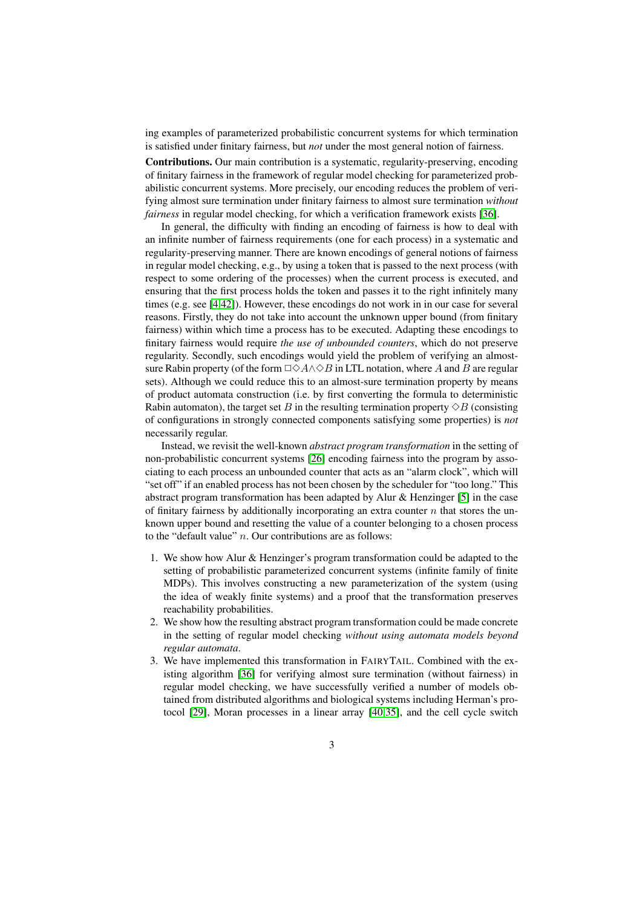ing examples of parameterized probabilistic concurrent systems for which termination is satisfied under finitary fairness, but *not* under the most general notion of fairness.

Contributions. Our main contribution is a systematic, regularity-preserving, encoding of finitary fairness in the framework of regular model checking for parameterized probabilistic concurrent systems. More precisely, our encoding reduces the problem of verifying almost sure termination under finitary fairness to almost sure termination *without fairness* in regular model checking, for which a verification framework exists [\[36\]](#page-16-10).

In general, the difficulty with finding an encoding of fairness is how to deal with an infinite number of fairness requirements (one for each process) in a systematic and regularity-preserving manner. There are known encodings of general notions of fairness in regular model checking, e.g., by using a token that is passed to the next process (with respect to some ordering of the processes) when the current process is executed, and ensuring that the first process holds the token and passes it to the right infinitely many times (e.g. see [\[4](#page-15-7)[,42\]](#page-16-7)). However, these encodings do not work in in our case for several reasons. Firstly, they do not take into account the unknown upper bound (from finitary fairness) within which time a process has to be executed. Adapting these encodings to finitary fairness would require *the use of unbounded counters*, which do not preserve regularity. Secondly, such encodings would yield the problem of verifying an almostsure Rabin property (of the form  $\Box \Diamond A \land \Diamond B$  in LTL notation, where A and B are regular sets). Although we could reduce this to an almost-sure termination property by means of product automata construction (i.e. by first converting the formula to deterministic Rabin automaton), the target set B in the resulting termination property  $\Diamond B$  (consisting of configurations in strongly connected components satisfying some properties) is *not* necessarily regular.

Instead, we revisit the well-known *abstract program transformation* in the setting of non-probabilistic concurrent systems [\[26\]](#page-16-11) encoding fairness into the program by associating to each process an unbounded counter that acts as an "alarm clock", which will "set off" if an enabled process has not been chosen by the scheduler for "too long." This abstract program transformation has been adapted by Alur & Henzinger [\[5\]](#page-15-10) in the case of finitary fairness by additionally incorporating an extra counter  $n$  that stores the unknown upper bound and resetting the value of a counter belonging to a chosen process to the "default value"  $n$ . Our contributions are as follows:

- 1. We show how Alur & Henzinger's program transformation could be adapted to the setting of probabilistic parameterized concurrent systems (infinite family of finite MDPs). This involves constructing a new parameterization of the system (using the idea of weakly finite systems) and a proof that the transformation preserves reachability probabilities.
- 2. We show how the resulting abstract program transformation could be made concrete in the setting of regular model checking *without using automata models beyond regular automata*.
- 3. We have implemented this transformation in FAIRYTAIL. Combined with the existing algorithm [\[36\]](#page-16-10) for verifying almost sure termination (without fairness) in regular model checking, we have successfully verified a number of models obtained from distributed algorithms and biological systems including Herman's protocol [\[29\]](#page-16-1), Moran processes in a linear array [\[40,](#page-16-12)[35\]](#page-16-5), and the cell cycle switch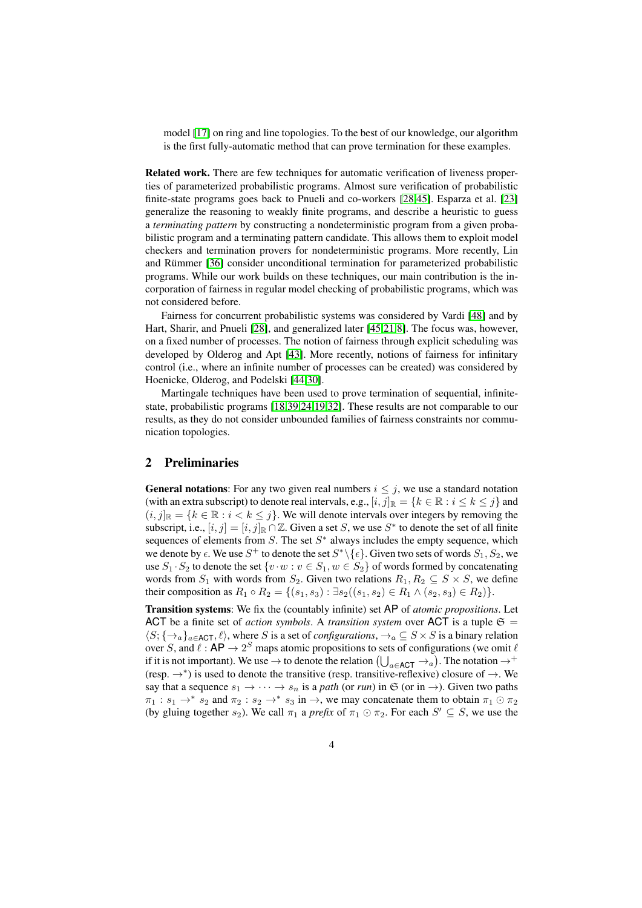model [\[17\]](#page-15-11) on ring and line topologies. To the best of our knowledge, our algorithm is the first fully-automatic method that can prove termination for these examples.

Related work. There are few techniques for automatic verification of liveness properties of parameterized probabilistic programs. Almost sure verification of probabilistic finite-state programs goes back to Pnueli and co-workers [\[28](#page-16-13)[,45\]](#page-16-14). Esparza et al. [\[23\]](#page-15-12) generalize the reasoning to weakly finite programs, and describe a heuristic to guess a *terminating pattern* by constructing a nondeterministic program from a given probabilistic program and a terminating pattern candidate. This allows them to exploit model checkers and termination provers for nondeterministic programs. More recently, Lin and Rümmer [\[36\]](#page-16-10) consider unconditional termination for parameterized probabilistic programs. While our work builds on these techniques, our main contribution is the incorporation of fairness in regular model checking of probabilistic programs, which was not considered before.

Fairness for concurrent probabilistic systems was considered by Vardi [\[48\]](#page-16-6) and by Hart, Sharir, and Pnueli [\[28\]](#page-16-13), and generalized later [\[45](#page-16-14)[,21](#page-15-13)[,8\]](#page-15-14). The focus was, however, on a fixed number of processes. The notion of fairness through explicit scheduling was developed by Olderog and Apt [\[43\]](#page-16-15). More recently, notions of fairness for infinitary control (i.e., where an infinite number of processes can be created) was considered by Hoenicke, Olderog, and Podelski [\[44](#page-16-16)[,30\]](#page-16-17).

Martingale techniques have been used to prove termination of sequential, infinitestate, probabilistic programs [\[18,](#page-15-15)[39,](#page-16-18)[24,](#page-15-16)[19,](#page-15-17)[32\]](#page-16-19). These results are not comparable to our results, as they do not consider unbounded families of fairness constraints nor communication topologies.

# 2 Preliminaries

**General notations**: For any two given real numbers  $i \leq j$ , we use a standard notation (with an extra subscript) to denote real intervals, e.g.,  $[i, j]_{\mathbb{R}} = \{k \in \mathbb{R} : i \leq k \leq j\}$  and  $(i, j]_{\mathbb{R}} = \{k \in \mathbb{R} : i < k \leq j\}$ . We will denote intervals over integers by removing the subscript, i.e.,  $[i, j] = [i, j]_{\mathbb{R}} \cap \mathbb{Z}$ . Given a set S, we use S<sup>\*</sup> to denote the set of all finite sequences of elements from  $S$ . The set  $S^*$  always includes the empty sequence, which we denote by  $\epsilon$ . We use  $S^{+}$  to denote the set  $S^*\backslash\{\epsilon\}$ . Given two sets of words  $S_1, S_2,$  we use  $S_1 \cdot S_2$  to denote the set  $\{v \cdot w : v \in S_1, w \in S_2\}$  of words formed by concatenating words from  $S_1$  with words from  $S_2$ . Given two relations  $R_1, R_2 \subseteq S \times S$ , we define their composition as  $R_1 \circ R_2 = \{(s_1, s_3) : \exists s_2((s_1, s_2) \in R_1 \land (s_2, s_3) \in R_2)\}.$ 

Transition systems: We fix the (countably infinite) set AP of *atomic propositions*. Let ACT be a finite set of *action symbols*. A *transition system* over ACT is a tuple  $\mathfrak{S} =$  $\langle S; \{\rightarrow_a\}_{a \in \text{ACT}}, \ell \rangle$ , where S is a set of *configurations*,  $\rightarrow_a \subseteq S \times S$  is a binary relation over S, and  $\ell :$  AP  $\rightarrow 2^S$  maps atomic propositions to sets of configurations (we omit  $\ell$ if it is not important). We use  $\to$  to denote the relation  $(\bigcup_{a \in \mathsf{ACT}} \to_a)$ . The notation  $\to^+$ (resp.  $\rightarrow$ \*) is used to denote the transitive (resp. transitive-reflexive) closure of  $\rightarrow$ . We say that a sequence  $s_1 \to \cdots \to s_n$  is a *path* (or *run*) in  $\mathfrak{S}$  (or in  $\to$ ). Given two paths  $\pi_1: s_1 \to^* s_2$  and  $\pi_2: s_2 \to^* s_3$  in  $\to$ , we may concatenate them to obtain  $\pi_1 \odot \pi_2$ (by gluing together  $s_2$ ). We call  $\pi_1$  a *prefix* of  $\pi_1 \odot \pi_2$ . For each  $S' \subseteq S$ , we use the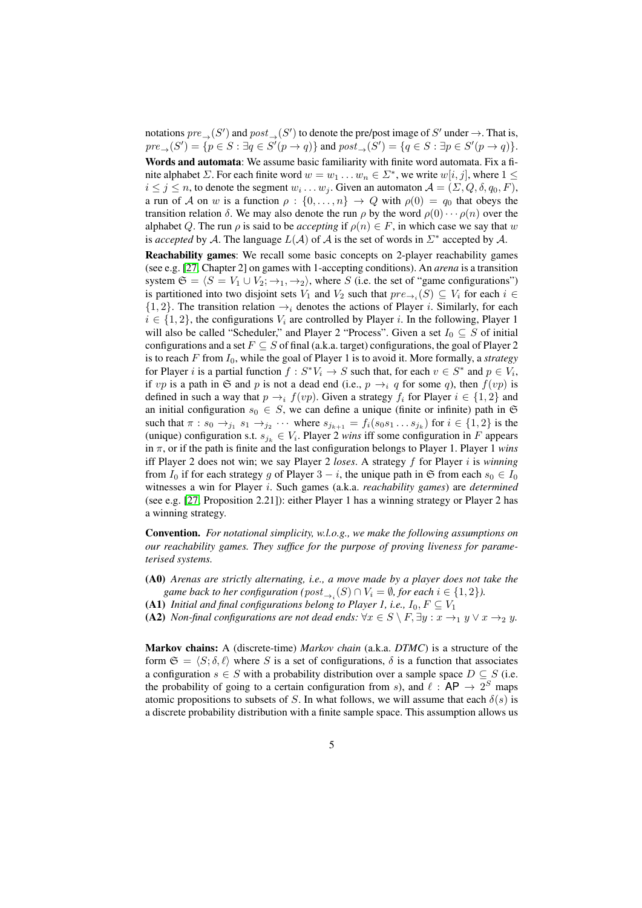notations  $pre_{\rightarrow}(S')$  and  $post_{\rightarrow}(S')$  to denote the pre/post image of  $S'$  under  $\rightarrow$ . That is,  $pre_{\rightarrow}(S') = \{p \in S : \exists q \in S'(p \rightarrow q)\}\$  and  $post_{\rightarrow}(S') = \{q \in S : \exists p \in S'(p \rightarrow q)\}.$ Words and automata: We assume basic familiarity with finite word automata. Fix a finite alphabet  $\Sigma$ . For each finite word  $w = w_1 \dots w_n \in \Sigma^*$ , we write  $w[i, j]$ , where  $1 \leq$  $i \leq j \leq n$ , to denote the segment  $w_i \dots w_j$ . Given an automaton  $\mathcal{A} = (\Sigma, Q, \delta, q_0, F)$ , a run of A on w is a function  $\rho : \{0, \ldots, n\} \to Q$  with  $\rho(0) = q_0$  that obeys the transition relation δ. We may also denote the run  $\rho$  by the word  $\rho(0) \cdots \rho(n)$  over the alphabet Q. The run  $\rho$  is said to be *accepting* if  $\rho(n) \in F$ , in which case we say that w is *accepted* by A. The language  $L(A)$  of A is the set of words in  $\mathbb{Z}^*$  accepted by A.

Reachability games: We recall some basic concepts on 2-player reachability games (see e.g. [\[27,](#page-16-20) Chapter 2] on games with 1-accepting conditions). An *arena* is a transition system  $\mathfrak{S} = \langle S = V_1 \cup V_2; \rightarrow_1, \rightarrow_2 \rangle$ , where S (i.e. the set of "game configurations") is partitioned into two disjoint sets  $V_1$  and  $V_2$  such that  $pre_{\rightarrow i}(S) \subseteq V_i$  for each  $i \in$  ${1, 2}$ . The transition relation  $\rightarrow_i$  denotes the actions of Player *i*. Similarly, for each  $i \in \{1, 2\}$ , the configurations  $V_i$  are controlled by Player i. In the following, Player 1 will also be called "Scheduler," and Player 2 "Process". Given a set  $I_0 \subseteq S$  of initial configurations and a set  $F \subseteq S$  of final (a.k.a. target) configurations, the goal of Player 2 is to reach  $F$  from  $I_0$ , while the goal of Player 1 is to avoid it. More formally, a *strategy* for Player *i* is a partial function  $f : S^*V_i \to S$  such that, for each  $v \in S^*$  and  $p \in V_i$ , if vp is a path in  $\mathfrak S$  and p is not a dead end (i.e.,  $p \rightarrow_i q$  for some q), then  $f(vp)$  is defined in such a way that  $p \rightarrow_i f(vp)$ . Given a strategy  $f_i$  for Player  $i \in \{1,2\}$  and an initial configuration  $s_0 \in S$ , we can define a unique (finite or infinite) path in  $\mathfrak S$ such that  $\pi : s_0 \to_{j_1} s_1 \to_{j_2} \cdots$  where  $s_{j_{k+1}} = f_i(s_0 s_1 \ldots s_{j_k})$  for  $i \in \{1,2\}$  is the (unique) configuration s.t.  $s_{j_k} \in V_i$ . Player 2 *wins* iff some configuration in F appears in π, or if the path is finite and the last configuration belongs to Player 1. Player 1 *wins* iff Player 2 does not win; we say Player 2 *loses*. A strategy f for Player i is *winning* from  $I_0$  if for each strategy g of Player  $3 - i$ , the unique path in G from each  $s_0 \in I_0$ witnesses a win for Player i. Such games (a.k.a. *reachability games*) are *determined* (see e.g. [\[27,](#page-16-20) Proposition 2.21]): either Player 1 has a winning strategy or Player 2 has a winning strategy.

Convention. *For notational simplicity, w.l.o.g., we make the following assumptions on our reachability games. They suffice for the purpose of proving liveness for parameterised systems.*

- (A0) *Arenas are strictly alternating, i.e., a move made by a player does not take the* game back to her configuration ( $post_{\rightarrow i}(S) \cap V_i = \emptyset$ , for each  $i \in \{1,2\}$ ).
- (A1) *Initial and final configurations belong to Player 1, i.e.,*  $I_0, F \subseteq V_1$
- (A2) *Non-final configurations are not dead ends:*  $\forall x \in S \setminus F$ ,  $\exists y : x \rightarrow_1 y \vee x \rightarrow_2 y$ .

Markov chains: A (discrete-time) *Markov chain* (a.k.a. *DTMC*) is a structure of the form  $\mathfrak{S} = \langle S; \delta, \ell \rangle$  where S is a set of configurations,  $\delta$  is a function that associates a configuration  $s \in S$  with a probability distribution over a sample space  $D \subseteq S$  (i.e. the probability of going to a certain configuration from s), and  $\ell : AP \rightarrow 2^S$  maps atomic propositions to subsets of S. In what follows, we will assume that each  $\delta(s)$  is a discrete probability distribution with a finite sample space. This assumption allows us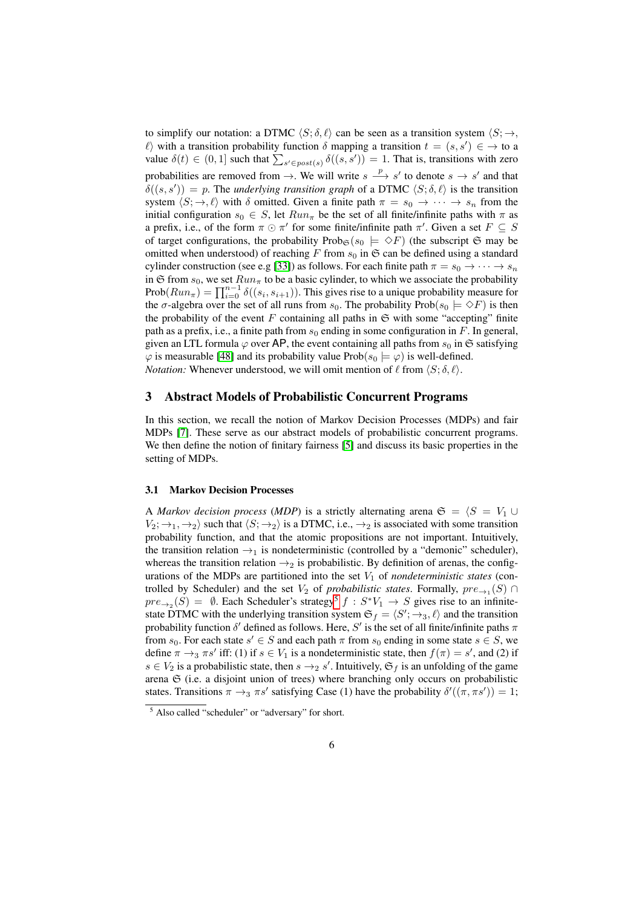to simplify our notation: a DTMC  $\langle S; \delta, \ell \rangle$  can be seen as a transition system  $\langle S; \rightarrow, \ell \rangle$  $\ell$ ) with a transition probability function  $\delta$  mapping a transition  $t = (s, s') \in \rightarrow$  to a value  $\delta(t) \in (0,1]$  such that  $\sum_{s' \in post(s)} \delta((s, s')) = 1$ . That is, transitions with zero probabilities are removed from  $\rightarrow$ . We will write  $s \stackrel{p}{\rightarrow} s'$  to denote  $s \rightarrow s'$  and that  $\delta((s, s')) = p$ . The *underlying transition graph* of a DTMC  $\langle S; \delta, \ell \rangle$  is the transition system  $\langle S; \to, \ell \rangle$  with  $\delta$  omitted. Given a finite path  $\pi = s_0 \to \cdots \to s_n$  from the initial configuration  $s_0 \in S$ , let  $Run_\pi$  be the set of all finite/infinite paths with  $\pi$  as a prefix, i.e., of the form  $\pi \odot \pi'$  for some finite/infinite path  $\pi'$ . Given a set  $F \subseteq S$ of target configurations, the probability  $\text{Prob}_{\mathfrak{S}}(s_0 \models \Diamond F)$  (the subscript  $\mathfrak{S}$  may be omitted when understood) of reaching F from  $s_0$  in  $\mathfrak S$  can be defined using a standard cylinder construction (see e.g [\[33\]](#page-16-21)) as follows. For each finite path  $\pi = s_0 \rightarrow \cdots \rightarrow s_n$ in  $\mathfrak S$  from  $s_0$ , we set  $Run_\pi$  to be a basic cylinder, to which we associate the probability Prob $(Run_{\pi}) = \prod_{i=0}^{n-1} \delta((s_i, s_{i+1}))$ . This gives rise to a unique probability measure for the  $\sigma$ -algebra over the set of all runs from  $s_0$ . The probability Prob $(s_0 \models \Diamond F)$  is then the probability of the event  $F$  containing all paths in  $\mathfrak S$  with some "accepting" finite path as a prefix, i.e., a finite path from  $s_0$  ending in some configuration in F. In general, given an LTL formula  $\varphi$  over AP, the event containing all paths from  $s_0$  in  $\mathfrak S$  satisfying  $\varphi$  is measurable [\[48\]](#page-16-6) and its probability value Prob $(s_0 \models \varphi)$  is well-defined. *Notation:* Whenever understood, we will omit mention of  $\ell$  from  $\langle S; \delta, \ell \rangle$ .

### <span id="page-5-0"></span>3 Abstract Models of Probabilistic Concurrent Programs

In this section, we recall the notion of Markov Decision Processes (MDPs) and fair MDPs [\[7\]](#page-15-1). These serve as our abstract models of probabilistic concurrent programs. We then define the notion of finitary fairness [\[5\]](#page-15-10) and discuss its basic properties in the setting of MDPs.

### 3.1 Markov Decision Processes

A *Markov decision process* (*MDP*) is a strictly alternating arena  $\mathfrak{S} = \langle S = V_1 \cup$  $V_2; \rightarrow_1, \rightarrow_2$  such that  $\langle S; \rightarrow_2 \rangle$  is a DTMC, i.e.,  $\rightarrow_2$  is associated with some transition probability function, and that the atomic propositions are not important. Intuitively, the transition relation  $\rightarrow_1$  is nondeterministic (controlled by a "demonic" scheduler), whereas the transition relation  $\rightarrow_2$  is probabilistic. By definition of arenas, the configurations of the MDPs are partitioned into the set  $V_1$  of *nondeterministic states* (controlled by Scheduler) and the set  $V_2$  of *probabilistic states*. Formally,  $pre_{\rightarrow_1}(S) \cap$  $pre_{\rightarrow_2}(S) = \emptyset$ . Each Scheduler's strategy<sup>[5](#page-5-1)</sup>  $f : S^*V_1 \rightarrow S$  gives rise to an infinitestate DTMC with the underlying transition system  $\mathfrak{S}_f = \langle S'; \rightarrow_3, \ell \rangle$  and the transition probability function  $\delta'$  defined as follows. Here,  $S'$  is the set of all finite/infinite paths  $\pi$ from  $s_0$ . For each state  $s' \in S$  and each path  $\pi$  from  $s_0$  ending in some state  $s \in S$ , we define  $\pi \rightarrow_3 \pi s'$  iff: (1) if  $s \in V_1$  is a nondeterministic state, then  $f(\pi) = s'$ , and (2) if  $s \in V_2$  is a probabilistic state, then  $s \to 2 s'$ . Intuitively,  $\mathfrak{S}_f$  is an unfolding of the game arena  $\mathfrak S$  (i.e. a disjoint union of trees) where branching only occurs on probabilistic states. Transitions  $\pi \to_3 \pi s'$  satisfying Case (1) have the probability  $\delta'((\pi, \pi s')) = 1$ ;

<span id="page-5-1"></span><sup>5</sup> Also called "scheduler" or "adversary" for short.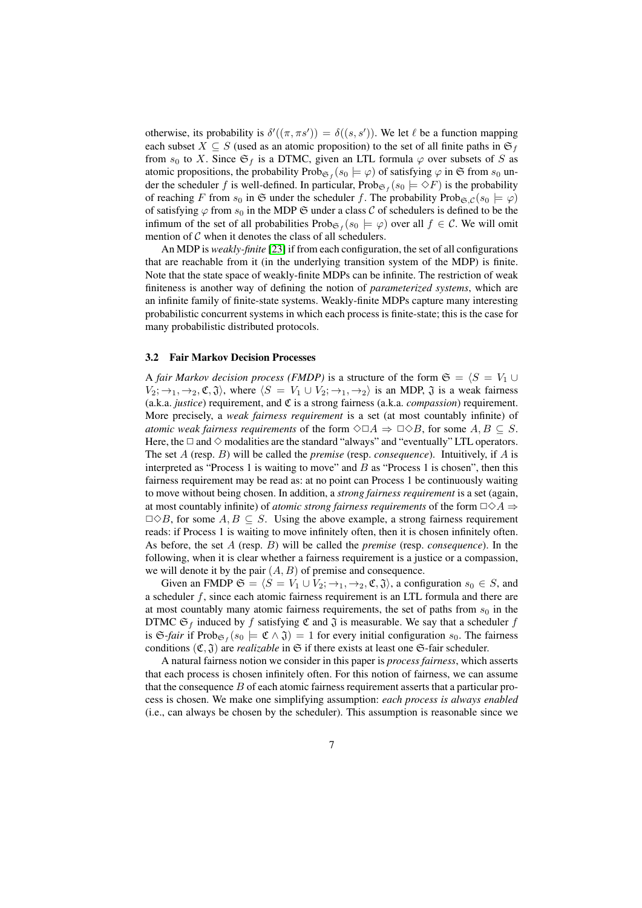otherwise, its probability is  $\delta'((\pi, \pi s')) = \delta((s, s'))$ . We let  $\ell$  be a function mapping each subset  $X \subseteq S$  (used as an atomic proposition) to the set of all finite paths in  $\mathfrak{S}_f$ from  $s_0$  to X. Since  $\mathfrak{S}_f$  is a DTMC, given an LTL formula  $\varphi$  over subsets of S as atomic propositions, the probability  $\text{Prob}_{\mathfrak{S}_f}(s_0 \models \varphi)$  of satisfying  $\varphi$  in  $\mathfrak S$  from  $s_0$  under the scheduler f is well-defined. In particular,  $\text{Prob}_{\mathfrak{S}_f}(s_0 \models \Diamond F)$  is the probability of reaching F from  $s_0$  in G under the scheduler f. The probability  $\text{Prob}_{\mathfrak{S},\mathcal{C}}(s_0 \models \varphi)$ of satisfying  $\varphi$  from  $s_0$  in the MDP  $\mathfrak S$  under a class C of schedulers is defined to be the infimum of the set of all probabilities  $\text{Prob}_{\mathfrak{S}_f}(s_0 \models \varphi)$  over all  $f \in \mathcal{C}$ . We will omit mention of  $C$  when it denotes the class of all schedulers.

An MDP is *weakly-finite* [\[23\]](#page-15-12) if from each configuration, the set of all configurations that are reachable from it (in the underlying transition system of the MDP) is finite. Note that the state space of weakly-finite MDPs can be infinite. The restriction of weak finiteness is another way of defining the notion of *parameterized systems*, which are an infinite family of finite-state systems. Weakly-finite MDPs capture many interesting probabilistic concurrent systems in which each process is finite-state; this is the case for many probabilistic distributed protocols.

### 3.2 Fair Markov Decision Processes

A *fair Markov decision process (FMDP)* is a structure of the form  $\mathfrak{S} = \langle S = V_1 \cup V_2 \rangle$  $V_2; \rightarrow_1, \rightarrow_2, \mathfrak{C}, \mathfrak{J}$ , where  $\langle S = V_1 \cup V_2; \rightarrow_1, \rightarrow_2 \rangle$  is an MDP,  $\mathfrak{J}$  is a weak fairness (a.k.a. *justice*) requirement, and C is a strong fairness (a.k.a. *compassion*) requirement. More precisely, a *weak fairness requirement* is a set (at most countably infinite) of *atomic weak fairness requirements* of the form  $\Diamond \Box A \Rightarrow \Box \Diamond B$ , for some  $A, B \subseteq S$ . Here, the  $\Box$  and  $\diamond$  modalities are the standard "always" and "eventually" LTL operators. The set A (resp. B) will be called the *premise* (resp. *consequence*). Intuitively, if A is interpreted as "Process 1 is waiting to move" and  $B$  as "Process 1 is chosen", then this fairness requirement may be read as: at no point can Process 1 be continuously waiting to move without being chosen. In addition, a *strong fairness requirement* is a set (again, at most countably infinite) of *atomic strong fairness requirements* of the form  $\square \diamond A \Rightarrow$  $\Box \Diamond B$ , for some  $A, B \subseteq S$ . Using the above example, a strong fairness requirement reads: if Process 1 is waiting to move infinitely often, then it is chosen infinitely often. As before, the set A (resp. B) will be called the *premise* (resp. *consequence*). In the following, when it is clear whether a fairness requirement is a justice or a compassion, we will denote it by the pair  $(A, B)$  of premise and consequence.

Given an FMDP  $\mathfrak{S} = \langle S = V_1 \cup V_2; \rightarrow_1, \rightarrow_2, \mathfrak{C}, \mathfrak{J} \rangle$ , a configuration  $s_0 \in S$ , and a scheduler  $f$ , since each atomic fairness requirement is an LTL formula and there are at most countably many atomic fairness requirements, the set of paths from  $s_0$  in the DTMC  $\mathfrak{S}_f$  induced by f satisfying  $\mathfrak C$  and  $\mathfrak J$  is measurable. We say that a scheduler f is G-fair if  $\text{Prob}_{\mathfrak{S}_f}(s_0 \models \mathfrak{C} \land \mathfrak{J}) = 1$  for every initial configuration  $s_0$ . The fairness conditions  $(\mathfrak{C}, \mathfrak{J})$  are *realizable* in  $\mathfrak{S}$  if there exists at least one  $\mathfrak{S}$ -fair scheduler.

A natural fairness notion we consider in this paper is *process fairness*, which asserts that each process is chosen infinitely often. For this notion of fairness, we can assume that the consequence  $B$  of each atomic fairness requirement asserts that a particular process is chosen. We make one simplifying assumption: *each process is always enabled* (i.e., can always be chosen by the scheduler). This assumption is reasonable since we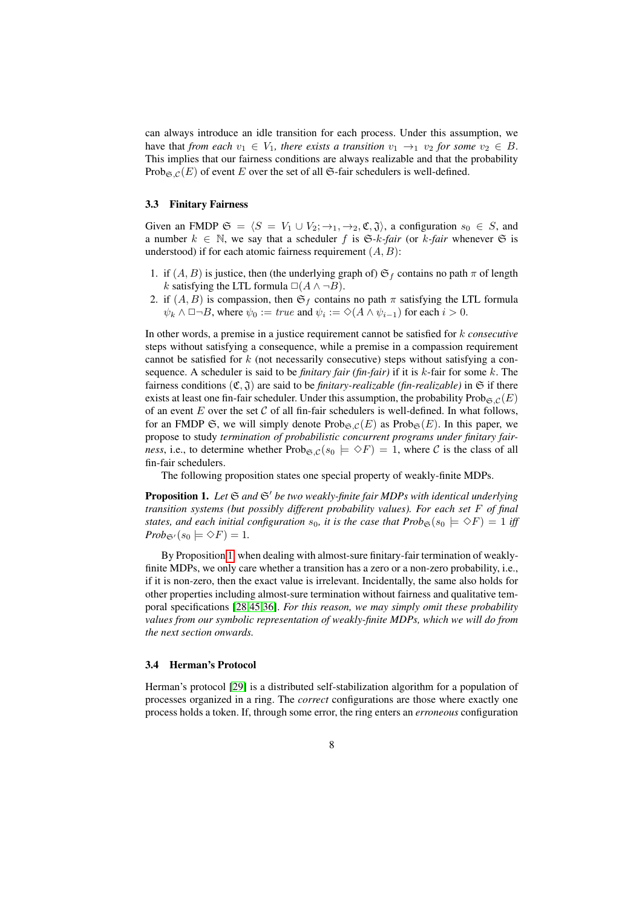can always introduce an idle transition for each process. Under this assumption, we have that *from each*  $v_1 \in V_1$ *, there exists a transition*  $v_1 \rightarrow_1 v_2$  *for some*  $v_2 \in B$ *.* This implies that our fairness conditions are always realizable and that the probability Prob $\mathfrak{S}_{\mathcal{C}}(E)$  of event E over the set of all  $\mathfrak{S}$ -fair schedulers is well-defined.

### 3.3 Finitary Fairness

Given an FMDP  $\mathfrak{S} = \langle S = V_1 \cup V_2; \rightarrow_1, \rightarrow_2, \mathfrak{C}, \mathfrak{J} \rangle$ , a configuration  $s_0 \in S$ , and a number  $k \in \mathbb{N}$ , we say that a scheduler f is G-k-fair (or k-fair whenever G is understood) if for each atomic fairness requirement  $(A, B)$ :

- 1. if  $(A, B)$  is justice, then (the underlying graph of)  $\mathfrak{S}_f$  contains no path  $\pi$  of length k satisfying the LTL formula  $\Box(A \land \neg B)$ .
- 2. if  $(A, B)$  is compassion, then  $\mathfrak{S}_f$  contains no path  $\pi$  satisfying the LTL formula  $\psi_k \wedge \Box \neg B$ , where  $\psi_0 := true$  and  $\psi_i := \Diamond(A \wedge \psi_{i-1})$  for each  $i > 0$ .

In other words, a premise in a justice requirement cannot be satisfied for k *consecutive* steps without satisfying a consequence, while a premise in a compassion requirement cannot be satisfied for  $k$  (not necessarily consecutive) steps without satisfying a consequence. A scheduler is said to be *finitary fair (fin-fair)* if it is  $k$ -fair for some  $k$ . The fairness conditions  $(\mathfrak{C}, \mathfrak{J})$  are said to be *finitary-realizable (fin-realizable)* in  $\mathfrak{S}$  if there exists at least one fin-fair scheduler. Under this assumption, the probability  $\text{Prob}_{\mathfrak{S},\mathcal{C}}(E)$ of an event E over the set C of all fin-fair schedulers is well-defined. In what follows, for an FMDP  $\mathfrak{S}$ , we will simply denote  $\text{Prob}_{\mathfrak{S},\mathcal{C}}(E)$  as  $\text{Prob}_{\mathfrak{S}}(E)$ . In this paper, we propose to study *termination of probabilistic concurrent programs under finitary fairness*, i.e., to determine whether  $\text{Prob}_{\mathfrak{S},\mathcal{C}}(s_0 = \mathfrak{S}F) = 1$ , where C is the class of all fin-fair schedulers.

<span id="page-7-0"></span>The following proposition states one special property of weakly-finite MDPs.

**Proposition 1.** Let  $\mathfrak{S}$  and  $\mathfrak{S}'$  be two weakly-finite fair MDPs with identical underlying *transition systems (but possibly different probability values). For each set* F *of final states, and each initial configuration*  $s_0$ *, it is the case that*  $Prob_{\mathfrak{S}}(s_0 \models \Diamond F) = 1$  *iff*  $Prob_{\mathfrak{S}'}(s_0 \models \Diamond F) = 1.$ 

By Proposition [1,](#page-7-0) when dealing with almost-sure finitary-fair termination of weaklyfinite MDPs, we only care whether a transition has a zero or a non-zero probability, i.e., if it is non-zero, then the exact value is irrelevant. Incidentally, the same also holds for other properties including almost-sure termination without fairness and qualitative temporal specifications [\[28](#page-16-13)[,45](#page-16-14)[,36\]](#page-16-10). *For this reason, we may simply omit these probability values from our symbolic representation of weakly-finite MDPs, which we will do from the next section onwards.*

### 3.4 Herman's Protocol

Herman's protocol [\[29\]](#page-16-1) is a distributed self-stabilization algorithm for a population of processes organized in a ring. The *correct* configurations are those where exactly one process holds a token. If, through some error, the ring enters an *erroneous* configuration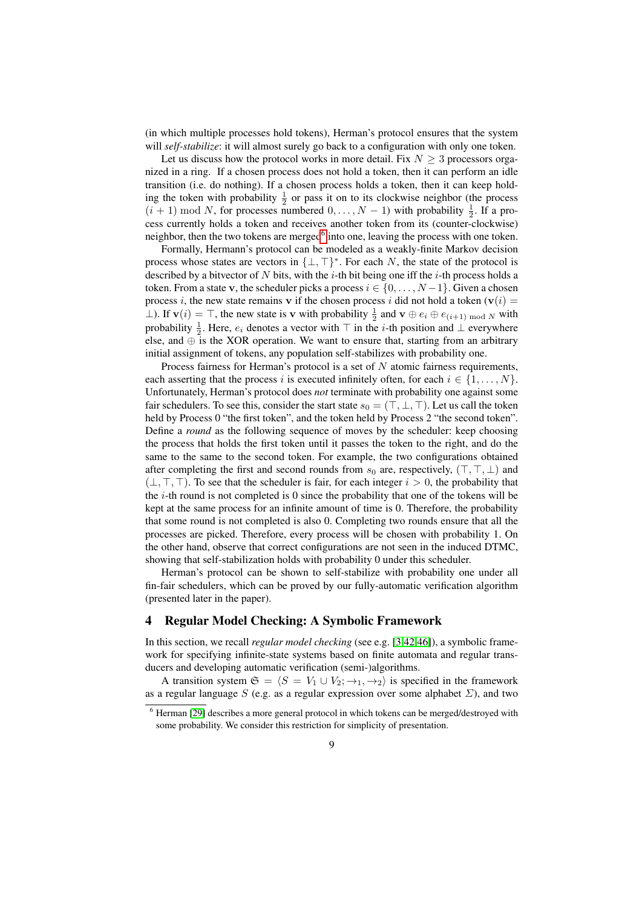(in which multiple processes hold tokens), Herman's protocol ensures that the system will *self-stabilize*: it will almost surely go back to a configuration with only one token.

Let us discuss how the protocol works in more detail. Fix  $N \geq 3$  processors organized in a ring. If a chosen process does not hold a token, then it can perform an idle transition (i.e. do nothing). If a chosen process holds a token, then it can keep holding the token with probability  $\frac{1}{2}$  or pass it on to its clockwise neighbor (the process  $(i + 1) \text{ mod } N$ , for processes numbered  $0, \ldots, N - 1$ ) with probability  $\frac{1}{2}$ . If a process currently holds a token and receives another token from its (counter-clockwise) neighbor, then the two tokens are merged<sup>[6](#page-8-0)</sup> into one, leaving the process with one token.

Formally, Hermann's protocol can be modeled as a weakly-finite Markov decision process whose states are vectors in  $\{\perp, \top\}^*$ . For each N, the state of the protocol is described by a bitvector of N bits, with the *i*-th bit being one iff the *i*-th process holds a token. From a state v, the scheduler picks a process  $i \in \{0, \ldots, N-1\}$ . Given a chosen process i, the new state remains v if the chosen process i did not hold a token  $(v(i) =$ ⊥). If  $\mathbf{v}(i) = \top$ , the new state is v with probability  $\frac{1}{2}$  and  $\mathbf{v} \oplus e_i \oplus e_{(i+1) \bmod N}$  with probability  $\frac{1}{2}$ . Here,  $e_i$  denotes a vector with  $\top$  in the *i*-th position and  $\bot$  everywhere else, and  $\oplus$  is the XOR operation. We want to ensure that, starting from an arbitrary initial assignment of tokens, any population self-stabilizes with probability one.

Process fairness for Herman's protocol is a set of N atomic fairness requirements, each asserting that the process i is executed infinitely often, for each  $i \in \{1, \ldots, N\}$ . Unfortunately, Herman's protocol does *not* terminate with probability one against some fair schedulers. To see this, consider the start state  $s_0 = (\top, \bot, \top)$ . Let us call the token held by Process 0 "the first token", and the token held by Process 2 "the second token". Define a *round* as the following sequence of moves by the scheduler: keep choosing the process that holds the first token until it passes the token to the right, and do the same to the same to the second token. For example, the two configurations obtained after completing the first and second rounds from  $s_0$  are, respectively,  $(\top, \top, \bot)$  and  $(\perp, \perp, \perp)$ . To see that the scheduler is fair, for each integer  $i > 0$ , the probability that the  $i$ -th round is not completed is 0 since the probability that one of the tokens will be kept at the same process for an infinite amount of time is 0. Therefore, the probability that some round is not completed is also 0. Completing two rounds ensure that all the processes are picked. Therefore, every process will be chosen with probability 1. On the other hand, observe that correct configurations are not seen in the induced DTMC, showing that self-stabilization holds with probability 0 under this scheduler.

Herman's protocol can be shown to self-stabilize with probability one under all fin-fair schedulers, which can be proved by our fully-automatic verification algorithm (presented later in the paper).

# 4 Regular Model Checking: A Symbolic Framework

In this section, we recall *regular model checking* (see e.g. [\[3,](#page-15-6)[42,](#page-16-7)[46\]](#page-16-22)), a symbolic framework for specifying infinite-state systems based on finite automata and regular transducers and developing automatic verification (semi-)algorithms.

A transition system  $\mathfrak{S} = \langle S = V_1 \cup V_2; \rightarrow_1, \rightarrow_2 \rangle$  is specified in the framework as a regular language S (e.g. as a regular expression over some alphabet  $\Sigma$ ), and two

<span id="page-8-0"></span><sup>6</sup> Herman [\[29\]](#page-16-1) describes a more general protocol in which tokens can be merged/destroyed with some probability. We consider this restriction for simplicity of presentation.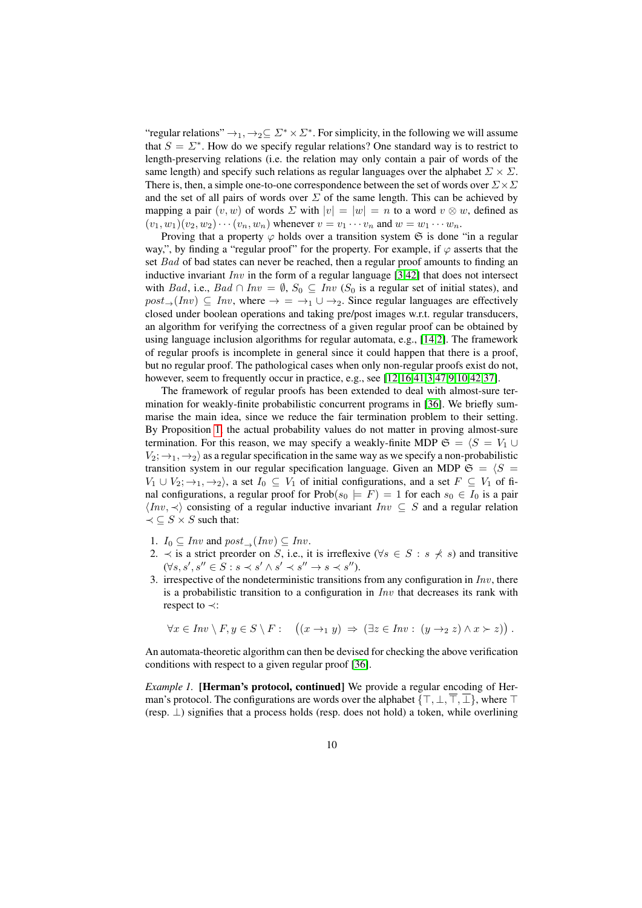"regular relations"  $\rightarrow_1, \rightarrow_2 \subseteq \Sigma^* \times \Sigma^*$ . For simplicity, in the following we will assume that  $S = \Sigma^*$ . How do we specify regular relations? One standard way is to restrict to length-preserving relations (i.e. the relation may only contain a pair of words of the same length) and specify such relations as regular languages over the alphabet  $\Sigma \times \Sigma$ . There is, then, a simple one-to-one correspondence between the set of words over  $\Sigma \times \Sigma$ and the set of all pairs of words over  $\Sigma$  of the same length. This can be achieved by mapping a pair  $(v, w)$  of words  $\Sigma$  with  $|v| = |w| = n$  to a word  $v \otimes w$ , defined as  $(v_1, w_1)(v_2, w_2) \cdots (v_n, w_n)$  whenever  $v = v_1 \cdots v_n$  and  $w = w_1 \cdots w_n$ .

Proving that a property  $\varphi$  holds over a transition system  $\mathfrak S$  is done "in a regular way,", by finding a "regular proof" for the property. For example, if  $\varphi$  asserts that the set Bad of bad states can never be reached, then a regular proof amounts to finding an inductive invariant  $Inv$  in the form of a regular language [\[3](#page-15-6)[,42\]](#page-16-7) that does not intersect with Bad, i.e., Bad ∩ Inv =  $\emptyset$ ,  $S_0 \subseteq Inv$  ( $S_0$  is a regular set of initial states), and  $post_{\rightarrow}(Inv) \subseteq Inv$ , where  $\rightarrow = \rightarrow_1 \cup \rightarrow_2$ . Since regular languages are effectively closed under boolean operations and taking pre/post images w.r.t. regular transducers, an algorithm for verifying the correctness of a given regular proof can be obtained by using language inclusion algorithms for regular automata, e.g., [\[14](#page-15-18)[,2\]](#page-15-19). The framework of regular proofs is incomplete in general since it could happen that there is a proof, but no regular proof. The pathological cases when only non-regular proofs exist do not, however, seem to frequently occur in practice, e.g., see [\[12](#page-15-20)[,16](#page-15-21)[,41](#page-16-8)[,3,](#page-15-6)[47,](#page-16-9)[9,](#page-15-22)[10,](#page-15-23)[42,](#page-16-7)[37\]](#page-16-23).

The framework of regular proofs has been extended to deal with almost-sure termination for weakly-finite probabilistic concurrent programs in [\[36\]](#page-16-10). We briefly summarise the main idea, since we reduce the fair termination problem to their setting. By Proposition [1,](#page-7-0) the actual probability values do not matter in proving almost-sure termination. For this reason, we may specify a weakly-finite MDP  $\mathfrak{S} = \mathfrak{S} = V_1 \cup$  $V_2; \rightarrow_1, \rightarrow_2$  as a regular specification in the same way as we specify a non-probabilistic transition system in our regular specification language. Given an MDP  $\mathfrak{S} = \langle S = \mathfrak{S} \rangle$  $V_1 \cup V_2; \rightarrow_1, \rightarrow_2$ , a set  $I_0 \subseteq V_1$  of initial configurations, and a set  $F \subseteq V_1$  of final configurations, a regular proof for Prob $(s_0 \models F) = 1$  for each  $s_0 \in I_0$  is a pair  $\langle Inv, \prec \rangle$  consisting of a regular inductive invariant  $Inv \subseteq S$  and a regular relation  $\prec$   $\subseteq$   $S \times S$  such that:

- 1.  $I_0 \subseteq Inv$  and  $post_{\rightarrow}(Inv) \subseteq Inv$ .
- 2.  $\prec$  is a strict preorder on S, i.e., it is irreflexive ( $\forall s \in S : s \nprec s$ ) and transitive  $(\forall s, s', s'' \in S : s \prec s' \land s' \prec s'' \rightarrow s \prec s'').$
- 3. irrespective of the nondeterministic transitions from any configuration in  $Inv$ , there is a probabilistic transition to a configuration in  $Inv$  that decreases its rank with respect to ≺:

$$
\forall x \in Inv \setminus F, y \in S \setminus F : \quad ((x \to_1 y) \Rightarrow (\exists z \in Inv : (y \to_2 z) \land x \succ z)).
$$

An automata-theoretic algorithm can then be devised for checking the above verification conditions with respect to a given regular proof [\[36\]](#page-16-10).

*Example 1.* [Herman's protocol, continued] We provide a regular encoding of Herman's protocol. The configurations are words over the alphabet  $\{\top, \bot, \top, \bot\}$ , where  $\top$ (resp. ⊥) signifies that a process holds (resp. does not hold) a token, while overlining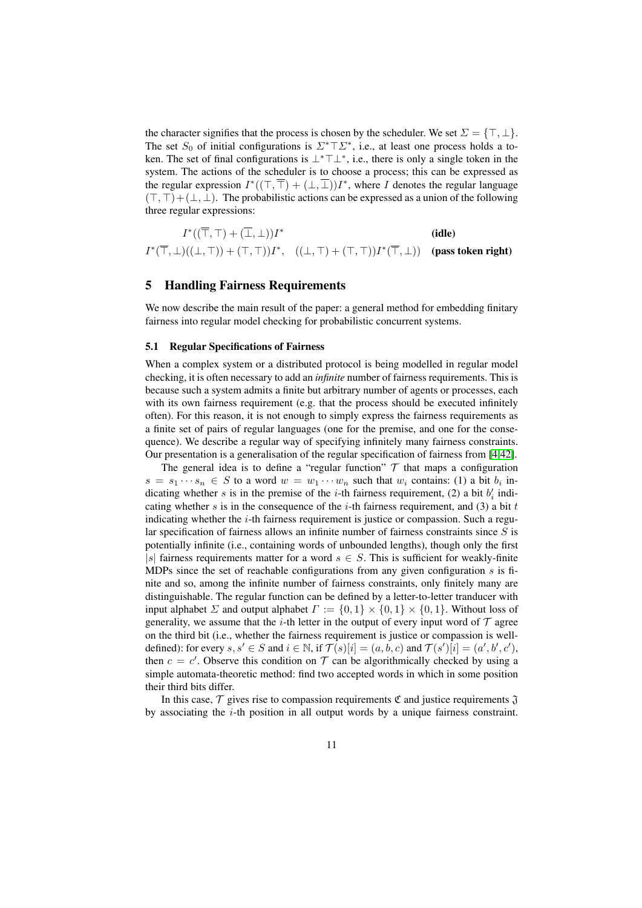the character signifies that the process is chosen by the scheduler. We set  $\Sigma = \{\top, \bot\}.$ The set  $S_0$  of initial configurations is  $\Sigma^* \top \Sigma^*$ , i.e., at least one process holds a token. The set of final configurations is  $\perp^* \top \perp^*$ , i.e., there is only a single token in the system. The actions of the scheduler is to choose a process; this can be expressed as the regular expression  $I^*((\top, \overline{\top}) + (\bot, \overline{\bot}))I^*$ , where I denotes the regular language  $(T, T) + (\perp, \perp)$ . The probabilistic actions can be expressed as a union of the following three regular expressions:

 $I^*((\overline{\mathsf{T}},\mathsf{T})+(\overline{\mathsf{T}},\bot))I^*$ (idle)  $I^*(\overline{\top}, \bot)((\bot, \top)) + (\top, \top))I^*, \quad ((\bot, \top) + (\top, \top))I^*(\overline{\top}, \bot))$  (pass token right)

# 5 Handling Fairness Requirements

We now describe the main result of the paper: a general method for embedding finitary fairness into regular model checking for probabilistic concurrent systems.

### 5.1 Regular Specifications of Fairness

When a complex system or a distributed protocol is being modelled in regular model checking, it is often necessary to add an *infinite* number of fairness requirements. This is because such a system admits a finite but arbitrary number of agents or processes, each with its own fairness requirement (e.g. that the process should be executed infinitely often). For this reason, it is not enough to simply express the fairness requirements as a finite set of pairs of regular languages (one for the premise, and one for the consequence). We describe a regular way of specifying infinitely many fairness constraints. Our presentation is a generalisation of the regular specification of fairness from [\[4,](#page-15-7)[42\]](#page-16-7).

The general idea is to define a "regular function"  $T$  that maps a configuration  $s = s_1 \cdots s_n \in S$  to a word  $w = w_1 \cdots w_n$  such that  $w_i$  contains: (1) a bit  $b_i$  indicating whether s is in the premise of the *i*-th fairness requirement, (2) a bit  $b'_i$  indicating whether s is in the consequence of the i-th fairness requirement, and (3) a bit t indicating whether the  $i$ -th fairness requirement is justice or compassion. Such a regular specification of fairness allows an infinite number of fairness constraints since  $S$  is potentially infinite (i.e., containing words of unbounded lengths), though only the first |s| fairness requirements matter for a word  $s \in S$ . This is sufficient for weakly-finite MDPs since the set of reachable configurations from any given configuration  $s$  is finite and so, among the infinite number of fairness constraints, only finitely many are distinguishable. The regular function can be defined by a letter-to-letter tranducer with input alphabet  $\Sigma$  and output alphabet  $\Gamma := \{0, 1\} \times \{0, 1\} \times \{0, 1\}$ . Without loss of generality, we assume that the *i*-th letter in the output of every input word of  $\mathcal T$  agree on the third bit (i.e., whether the fairness requirement is justice or compassion is welldefined): for every  $s, s' \in S$  and  $i \in \mathbb{N}$ , if  $\mathcal{T}(s)[i] = (a, b, c)$  and  $\mathcal{T}(s')[i] = (a', b', c')$ , then  $c = c'$ . Observe this condition on  $\mathcal T$  can be algorithmically checked by using a simple automata-theoretic method: find two accepted words in which in some position their third bits differ.

In this case,  $\tau$  gives rise to compassion requirements  $\mathfrak c$  and justice requirements  $\mathfrak J$ by associating the  $i$ -th position in all output words by a unique fairness constraint.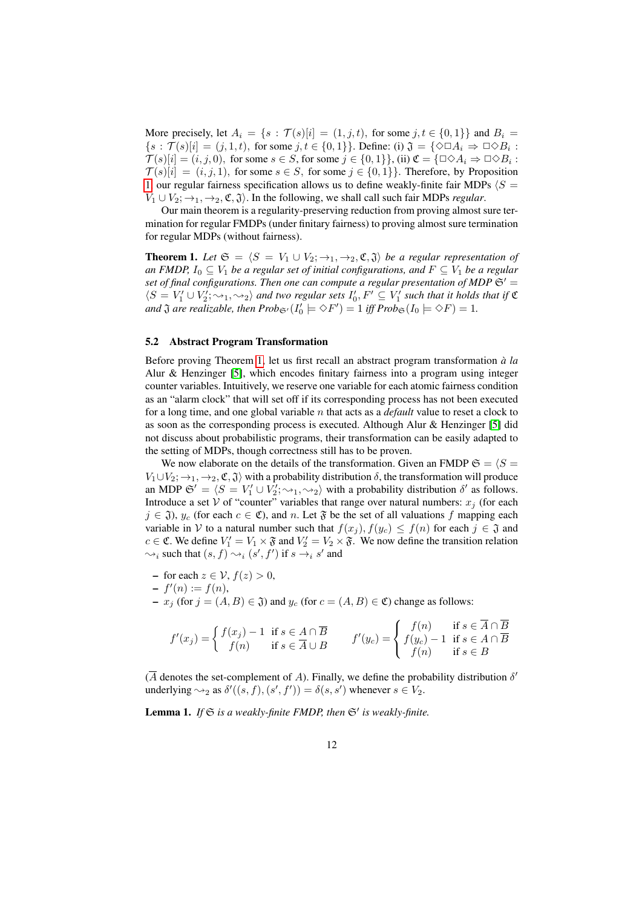More precisely, let  $A_i = \{s : \mathcal{T}(s)[i] = (1, j, t)$ , for some  $j, t \in \{0, 1\}\}\$  and  $B_i =$  ${s : \mathcal{T}(s)[i] = (j, 1, t), \text{ for some } j, t \in \{0, 1\}\}\.$  Define: (i)  $\mathfrak{J} = \{ \Diamond \Box A_i \Rightarrow \Box \Diamond B_i : \Box B_i \Rightarrow \Box B_i \Rightarrow \Box B_i \Rightarrow \Box B_i \Rightarrow \Box B_i \Rightarrow \Box B_i \Rightarrow \Box B_i \Rightarrow \Box B_i \Rightarrow \Box B_i \Rightarrow \Box B_i \Rightarrow \Box B_i \Rightarrow \Box B_i \Rightarrow \Box B_i \Rightarrow \Box B_i \Rightarrow \Box B_i \Rightarrow \Box B_i \Rightarrow \Box B_i \Rightarrow \Box B_i \Rightarrow \Box B_i \Rightarrow \Box B_i \Rightarrow \Box B_i \Rightarrow \Box B_i \Rightarrow \Box B_i \Rightarrow \$  $\mathcal{T}(s)[i]=(i,j,0), \text{ for some } s\in S, \text{ for some } j\in\{0,1\}\},$  (ii)  $\mathfrak{C}=\{\Box\Diamond A_i \Rightarrow \Box\Diamond B_i:$  $\mathcal{T}(s)[i] = (i, j, 1)$ , for some  $s \in S$ , for some  $j \in \{0, 1\}$ . Therefore, by Proposition [1,](#page-7-0) our regular fairness specification allows us to define weakly-finite fair MDPs  $\langle S = \rangle$  $V_1 \cup V_2; \rightarrow_1, \rightarrow_2, \mathfrak{C}, \mathfrak{J}$ . In the following, we shall call such fair MDPs *regular*.

<span id="page-11-0"></span>Our main theorem is a regularity-preserving reduction from proving almost sure termination for regular FMDPs (under finitary fairness) to proving almost sure termination for regular MDPs (without fairness).

**Theorem 1.** Let  $\mathfrak{S} = \langle S = V_1 \cup V_2; \rightarrow_1, \rightarrow_2, \mathfrak{C}, \mathfrak{J} \rangle$  be a regular representation of *an FMDP,*  $I_0 \subseteq V_1$  *be a regular set of initial configurations, and*  $F \subseteq V_1$  *be a regular set of final configurations. Then one can compute a regular presentation of MDP*  $\mathfrak{S}' =$  $\langle S = V_1' \cup V_2'; \leadsto_1, \leadsto_2 \rangle$  and two regular sets  $I'_0, F' \subseteq V_1'$  such that it holds that if  $\mathfrak C$ and  $\mathfrak J$  are realizable, then  $Prob_{\mathfrak S'}(I'_0 \models \Diamond F') = 1$  iff  $Prob_{\mathfrak S}(I_0 \models \Diamond F) = 1$ .

### 5.2 Abstract Program Transformation

Before proving Theorem [1,](#page-11-0) let us first recall an abstract program transformation *a la `* Alur & Henzinger [\[5\]](#page-15-10), which encodes finitary fairness into a program using integer counter variables. Intuitively, we reserve one variable for each atomic fairness condition as an "alarm clock" that will set off if its corresponding process has not been executed for a long time, and one global variable n that acts as a *default* value to reset a clock to as soon as the corresponding process is executed. Although Alur & Henzinger [\[5\]](#page-15-10) did not discuss about probabilistic programs, their transformation can be easily adapted to the setting of MDPs, though correctness still has to be proven.

We now elaborate on the details of the transformation. Given an FMDP  $\mathfrak{S} = \langle S = \mathfrak{S} \rangle$  $V_1 \cup V_2; \to_1, \to_2, \mathfrak{C}, \mathfrak{J}$  with a probability distribution  $\delta$ , the transformation will produce an MDP  $\mathfrak{S}' = \langle S = V'_1 \cup V'_2; \leadsto_1, \leadsto_2 \rangle$  with a probability distribution  $\delta'$  as follows. Introduce a set V of "counter" variables that range over natural numbers:  $x_j$  (for each  $j \in \mathfrak{J}$ ,  $y_c$  (for each  $c \in \mathfrak{C}$ ), and n. Let  $\mathfrak{F}$  be the set of all valuations f mapping each variable in V to a natural number such that  $f(x_j)$ ,  $f(y_c) \le f(n)$  for each  $j \in \mathfrak{J}$  and  $c \in \mathfrak{C}$ . We define  $V_1' = V_1 \times \mathfrak{F}$  and  $V_2' = V_2 \times \mathfrak{F}$ . We now define the transition relation  $\rightsquigarrow_i$  such that  $(s, f) \rightsquigarrow_i (s', f')$  if  $s \rightarrow_i s'$  and

- for each  $z \in \mathcal{V}$ ,  $f(z) > 0$ ,
- $-f'(n) := f(n),$
- $x_j$  (for  $j = (A, B) \in \mathfrak{J}$ ) and  $y_c$  (for  $c = (A, B) \in \mathfrak{C}$ ) change as follows:

$$
f'(x_j) = \begin{cases} f(x_j) - 1 & \text{if } s \in A \cap \overline{B} \\ f(n) & \text{if } s \in \overline{A} \cup B \end{cases} \qquad f'(y_c) = \begin{cases} f(n) & \text{if } s \in \overline{A} \cap \overline{B} \\ f(y_c) - 1 & \text{if } s \in A \cap \overline{B} \\ f(n) & \text{if } s \in B \end{cases}
$$

 $(\overline{A}$  denotes the set-complement of A). Finally, we define the probability distribution  $\delta'$ underlying  $\leadsto_2$  as  $\delta'((s, f), (s', f')) = \delta(s, s')$  whenever  $s \in V_2$ .

**Lemma 1.** If  $G$  is a weakly-finite FMDP, then  $G'$  is weakly-finite.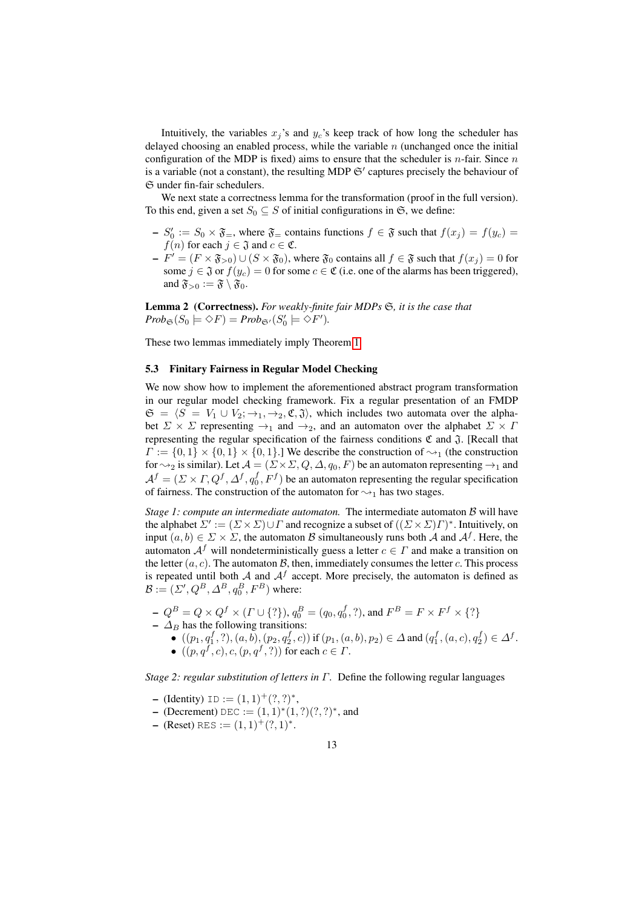Intuitively, the variables  $x_j$ 's and  $y_c$ 's keep track of how long the scheduler has delayed choosing an enabled process, while the variable  $n$  (unchanged once the initial configuration of the MDP is fixed) aims to ensure that the scheduler is  $n$ -fair. Since  $n$ is a variable (not a constant), the resulting MDP  $G'$  captures precisely the behaviour of S under fin-fair schedulers.

We next state a correctness lemma for the transformation (proof in the full version). To this end, given a set  $S_0 \subseteq S$  of initial configurations in  $\mathfrak{S}$ , we define:

- $-S'_0 := S_0 \times \mathfrak{F}_=$ , where  $\mathfrak{F}_=$  contains functions  $f \in \mathfrak{F}$  such that  $f(x_j) = f(y_c)$  $f(n)$  for each  $j \in \mathfrak{J}$  and  $c \in \mathfrak{C}$ .
- $-F' = (F \times \mathfrak{F}_{>0}) \cup (S \times \mathfrak{F}_0)$ , where  $\mathfrak{F}_0$  contains all  $f \in \mathfrak{F}$  such that  $f(x_j) = 0$  for some  $j \in \mathfrak{J}$  or  $f(y_c) = 0$  for some  $c \in \mathfrak{C}$  (i.e. one of the alarms has been triggered), and  $\mathfrak{F}_{>0} := \mathfrak{F} \setminus \mathfrak{F}_0$ .

Lemma 2 (Correctness). *For weakly-finite fair MDPs* S*, it is the case that*  $Prob_{\mathfrak{S}}(S_0 \models \Diamond F) = Prob_{\mathfrak{S}'}(S'_0 \models \Diamond F').$ 

These two lemmas immediately imply Theorem [1.](#page-11-0)

#### 5.3 Finitary Fairness in Regular Model Checking

We now show how to implement the aforementioned abstract program transformation in our regular model checking framework. Fix a regular presentation of an FMDP  $\mathfrak{S} = \langle S = V_1 \cup V_2; \rightarrow_1, \rightarrow_2, \mathfrak{C}, \mathfrak{J} \rangle$ , which includes two automata over the alphabet  $\Sigma \times \Sigma$  representing  $\rightarrow_1$  and  $\rightarrow_2$ , and an automaton over the alphabet  $\Sigma \times \Gamma$ representing the regular specification of the fairness conditions  $\mathfrak C$  and  $\mathfrak J$ . [Recall that  $\Gamma := \{0,1\} \times \{0,1\} \times \{0,1\}$ .] We describe the construction of  $\rightsquigarrow_1$  (the construction for  $\rightsquigarrow_2$  is similar). Let  $\mathcal{A} = (\Sigma \times \Sigma, Q, \Delta, q_0, F)$  be an automaton representing  $\rightarrow_1$  and  $A^f = (\Sigma \times \Gamma, Q^f, \Delta^f, q_0^f, F^f)$  be an automaton representing the regular specification of fairness. The construction of the automaton for  $\leadsto_1$  has two stages.

*Stage 1: compute an intermediate automaton.* The intermediate automaton B will have the alphabet  $\Sigma' := (\Sigma \times \Sigma) \cup \Gamma$  and recognize a subset of  $((\Sigma \times \Sigma)\Gamma)^*$ . Intuitively, on input  $(a, b) \in \Sigma \times \Sigma$ , the automaton B simultaneously runs both A and  $A<sup>f</sup>$ . Here, the automaton  $\mathcal{A}^f$  will nondeterministically guess a letter  $c \in \Gamma$  and make a transition on the letter  $(a, c)$ . The automaton  $\beta$ , then, immediately consumes the letter c. This process is repeated until both A and  $A<sup>f</sup>$  accept. More precisely, the automaton is defined as  $\mathcal{B} := (\Sigma', Q^B, \varDelta^B, q_0^B, F^B)$  where:

- $-Q^B=Q\times Q^f\times (\varGamma\cup \{?\}),$   $q^B_0=(q_0, q_0^f, ?),$  and  $F^B=F\times F^f\times \{?\}$
- $\Delta_B$  has the following transitions:
	- $((p_1, q_1^f, ?), (a, b), (p_2, q_2^f, c))$  if  $(p_1, (a, b), p_2) \in \Delta$  and  $(q_1^f, (a, c), q_2^f) \in \Delta^f$ .
	- $\bullet$   $((p, q^f, c), c, (p, q^f, ?))$  for each  $c \in \Gamma$ .

*Stage 2: regular substitution of letters in* Γ*.* Define the following regular languages

- (Identity) ID :=  $(1,1)^{+}(?, ?)^{*}$ ,
- (Decrement) DEC :=  $(1, 1)$ <sup>\*</sup> $(1, ?)(?, ?)$ <sup>\*</sup>, and
- $-$  (Reset) RES :=  $(1,1)^{+}(?,1)^{*}$ .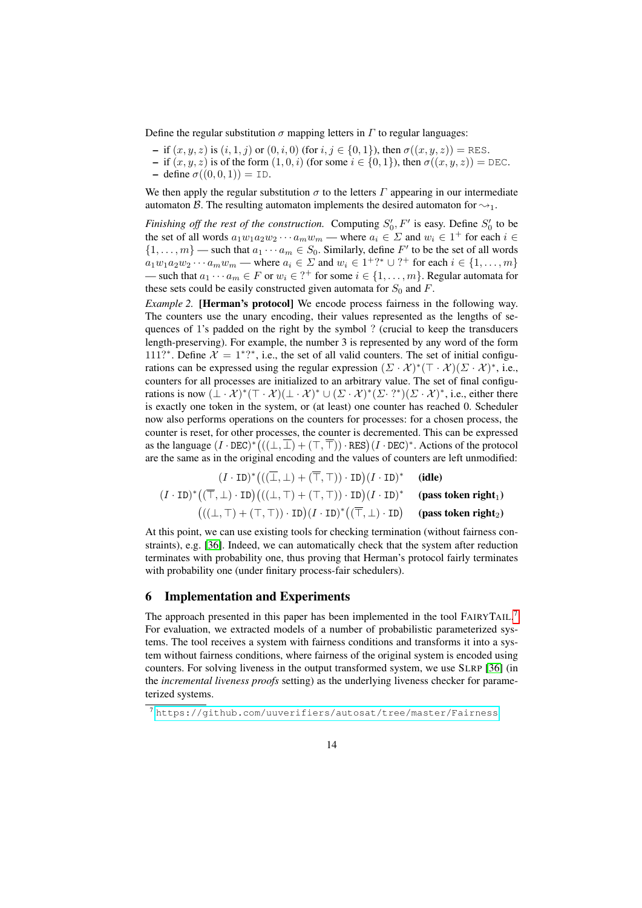Define the regular substitution  $\sigma$  mapping letters in  $\Gamma$  to regular languages:

- if  $(x, y, z)$  is  $(i, 1, j)$  or  $(0, i, 0)$  (for  $i, j \in \{0, 1\}$ ), then  $\sigma((x, y, z)) = \text{RES}$ .
- if  $(x, y, z)$  is of the form  $(1, 0, i)$  (for some  $i \in \{0, 1\}$ ), then  $\sigma((x, y, z)) = \text{DEC}$ .
- $-\text{ define } \sigma((0,0,1)) = \text{ID}.$

We then apply the regular substitution  $\sigma$  to the letters  $\Gamma$  appearing in our intermediate automaton B. The resulting automaton implements the desired automaton for  $\rightsquigarrow_1$ .

*Finishing off the rest of the construction.* Computing  $S'_0$ ,  $F'$  is easy. Define  $S'_0$  to be the set of all words  $a_1w_1a_2w_2\cdots a_mw_m$  — where  $a_i \in \Sigma$  and  $w_i \in 1^+$  for each  $i \in$  $\{1, \ldots, m\}$  — such that  $a_1 \cdots a_m \in S_0$ . Similarly, define  $F'$  to be the set of all words  $a_1w_1a_2w_2\cdots a_mw_m$  — where  $a_i \in \Sigma$  and  $w_i \in 1^+$ ?\*  $\cup$  ?<sup>+</sup> for each  $i \in \{1,\ldots,m\}$ — such that  $a_1 \cdots a_m \in F$  or  $w_i \in ?^+$  for some  $i \in \{1, \ldots, m\}$ . Regular automata for these sets could be easily constructed given automata for  $S_0$  and F.

*Example 2.* [Herman's protocol] We encode process fairness in the following way. The counters use the unary encoding, their values represented as the lengths of sequences of 1's padded on the right by the symbol ? (crucial to keep the transducers length-preserving). For example, the number 3 is represented by any word of the form 111?\*. Define  $\mathcal{X} = 1^*$ ?\*, i.e., the set of all valid counters. The set of initial configurations can be expressed using the regular expression  $(\Sigma \cdot \mathcal{X})^*(T \cdot \mathcal{X})(\Sigma \cdot \mathcal{X})^*$ , i.e., counters for all processes are initialized to an arbitrary value. The set of final configurations is now  $(\perp \cdot \mathcal{X})^*(\top \cdot \mathcal{X})(\perp \cdot \mathcal{X})^* \cup (\Sigma \cdot \mathcal{X})^*(\Sigma \cdot ?^*)(\Sigma \cdot \mathcal{X})^*$ , i.e., either there is exactly one token in the system, or (at least) one counter has reached 0. Scheduler now also performs operations on the counters for processes: for a chosen process, the counter is reset, for other processes, the counter is decremented. This can be expressed as the language  $(I \cdot \texttt{DEC})^* \big( ((\bot, \overline{\bot}) + (\top, \overline{\top})) \cdot \texttt{RES} \big) (I \cdot \texttt{DEC})^*$ . Actions of the protocol are the same as in the original encoding and the values of counters are left unmodified:

$$
(I \cdot \text{ID})^*\big(( (\overline{\bot}, \bot) + (\overline{\top}, \top) ) \cdot \text{ID}\big)(I \cdot \text{ID})^* \qquad \text{(idle)}
$$
\n
$$
(I \cdot \text{ID})^*\big((\overline{\top}, \bot) \cdot \text{ID}\big)(((\bot, \top) + (\top, \top)) \cdot \text{ID})(I \cdot \text{ID})^* \qquad \text{(pass token right_1)}
$$
\n
$$
\big(((\bot, \top) + (\top, \top)) \cdot \text{ID}\big)(I \cdot \text{ID})^*\big((\overline{\top}, \bot) \cdot \text{ID}\big) \qquad \text{(pass token right_2)}
$$

At this point, we can use existing tools for checking termination (without fairness constraints), e.g. [\[36\]](#page-16-10). Indeed, we can automatically check that the system after reduction terminates with probability one, thus proving that Herman's protocol fairly terminates with probability one (under finitary process-fair schedulers).

### <span id="page-13-1"></span>6 Implementation and Experiments

The approach presented in this paper has been implemented in the tool FAIRYTAIL.<sup>[7](#page-13-0)</sup> For evaluation, we extracted models of a number of probabilistic parameterized systems. The tool receives a system with fairness conditions and transforms it into a system without fairness conditions, where fairness of the original system is encoded using counters. For solving liveness in the output transformed system, we use SLRP [\[36\]](#page-16-10) (in the *incremental liveness proofs* setting) as the underlying liveness checker for parameterized systems.

<span id="page-13-0"></span><sup>7</sup> <https://github.com/uuverifiers/autosat/tree/master/Fairness>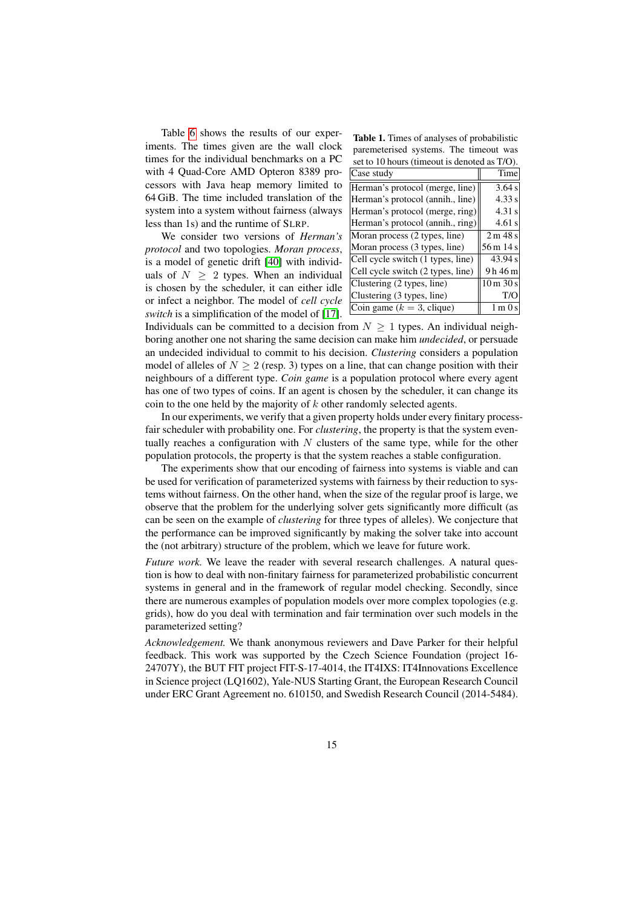Table [6](#page-13-1) shows the results of our experiments. The times given are the wall clock times for the individual benchmarks on a PC with 4 Quad-Core AMD Opteron 8389 processors with Java heap memory limited to 64 GiB. The time included translation of the system into a system without fairness (always less than 1s) and the runtime of SLRP.

We consider two versions of *Herman's protocol* and two topologies. *Moran process*, is a model of genetic drift [\[40\]](#page-16-12) with individuals of  $N \geq 2$  types. When an individual is chosen by the scheduler, it can either idle or infect a neighbor. The model of *cell cycle switch* is a simplification of the model of [\[17\]](#page-15-11).

Table 1. Times of analyses of probabilistic paremeterised systems. The timeout was set to 10 hours (timeout is denoted as T/O).

| Case study                        | Time                   |
|-----------------------------------|------------------------|
| Herman's protocol (merge, line)   | 3.64 s                 |
| Herman's protocol (annih., line)  | 4.33 s                 |
| Herman's protocol (merge, ring)   | 4.31 s                 |
| Herman's protocol (annih., ring)  | 4.61 s                 |
| Moran process (2 types, line)     | 2 m 48 s               |
| Moran process (3 types, line)     | 56 m 14 s              |
| Cell cycle switch (1 types, line) | 43.94 s                |
| Cell cycle switch (2 types, line) | 9h 46 m                |
| Clustering (2 types, line)        | $10 \,\mathrm{m}$ 30 s |
| Clustering (3 types, line)        | T/O                    |
| Coin game ( $k = 3$ , clique)     | $1 \text{ m}$ 0 s      |

Individuals can be committed to a decision from  $N \geq 1$  types. An individual neighboring another one not sharing the same decision can make him *undecided*, or persuade an undecided individual to commit to his decision. *Clustering* considers a population model of alleles of  $N \ge 2$  (resp. 3) types on a line, that can change position with their neighbours of a different type. *Coin game* is a population protocol where every agent has one of two types of coins. If an agent is chosen by the scheduler, it can change its coin to the one held by the majority of  $k$  other randomly selected agents.

In our experiments, we verify that a given property holds under every finitary processfair scheduler with probability one. For *clustering*, the property is that the system eventually reaches a configuration with  $N$  clusters of the same type, while for the other population protocols, the property is that the system reaches a stable configuration.

The experiments show that our encoding of fairness into systems is viable and can be used for verification of parameterized systems with fairness by their reduction to systems without fairness. On the other hand, when the size of the regular proof is large, we observe that the problem for the underlying solver gets significantly more difficult (as can be seen on the example of *clustering* for three types of alleles). We conjecture that the performance can be improved significantly by making the solver take into account the (not arbitrary) structure of the problem, which we leave for future work.

*Future work.* We leave the reader with several research challenges. A natural question is how to deal with non-finitary fairness for parameterized probabilistic concurrent systems in general and in the framework of regular model checking. Secondly, since there are numerous examples of population models over more complex topologies (e.g. grids), how do you deal with termination and fair termination over such models in the parameterized setting?

*Acknowledgement.* We thank anonymous reviewers and Dave Parker for their helpful feedback. This work was supported by the Czech Science Foundation (project 16- 24707Y), the BUT FIT project FIT-S-17-4014, the IT4IXS: IT4Innovations Excellence in Science project (LQ1602), Yale-NUS Starting Grant, the European Research Council under ERC Grant Agreement no. 610150, and Swedish Research Council (2014-5484).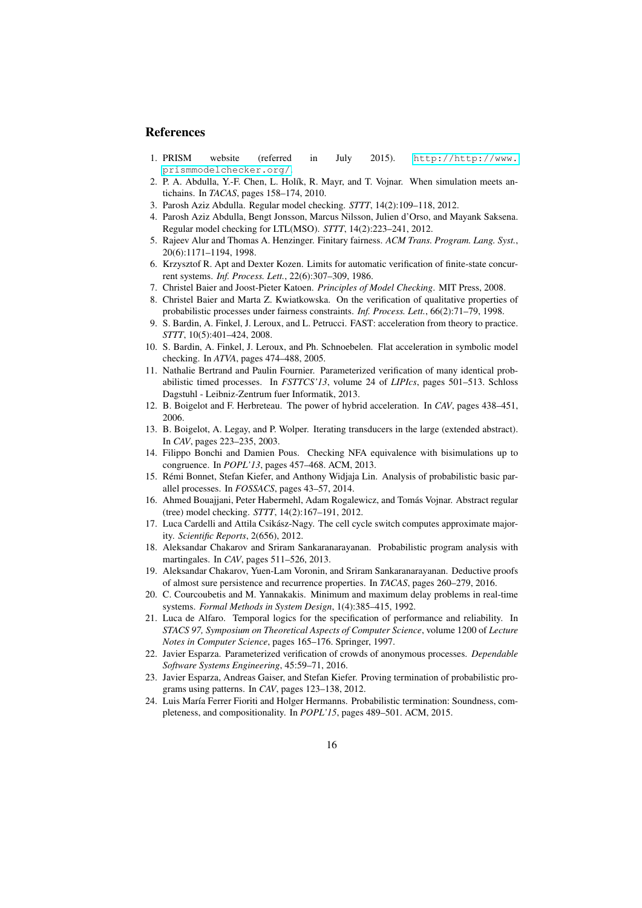# **References**

- <span id="page-15-2"></span>1. PRISM website (referred in July 2015). [http://http://www.](http://http://www.prismmodelchecker.org/) [prismmodelchecker.org/](http://http://www.prismmodelchecker.org/).
- <span id="page-15-19"></span>2. P. A. Abdulla, Y.-F. Chen, L. Holík, R. Mayr, and T. Vojnar. When simulation meets antichains. In *TACAS*, pages 158–174, 2010.
- <span id="page-15-6"></span>3. Parosh Aziz Abdulla. Regular model checking. *STTT*, 14(2):109–118, 2012.
- <span id="page-15-7"></span>4. Parosh Aziz Abdulla, Bengt Jonsson, Marcus Nilsson, Julien d'Orso, and Mayank Saksena. Regular model checking for LTL(MSO). *STTT*, 14(2):223–241, 2012.
- <span id="page-15-10"></span>5. Rajeev Alur and Thomas A. Henzinger. Finitary fairness. *ACM Trans. Program. Lang. Syst.*, 20(6):1171–1194, 1998.
- <span id="page-15-3"></span>6. Krzysztof R. Apt and Dexter Kozen. Limits for automatic verification of finite-state concurrent systems. *Inf. Process. Lett.*, 22(6):307–309, 1986.
- <span id="page-15-1"></span>7. Christel Baier and Joost-Pieter Katoen. *Principles of Model Checking*. MIT Press, 2008.
- <span id="page-15-14"></span>8. Christel Baier and Marta Z. Kwiatkowska. On the verification of qualitative properties of probabilistic processes under fairness constraints. *Inf. Process. Lett.*, 66(2):71–79, 1998.
- <span id="page-15-22"></span>9. S. Bardin, A. Finkel, J. Leroux, and L. Petrucci. FAST: acceleration from theory to practice. *STTT*, 10(5):401–424, 2008.
- <span id="page-15-23"></span>10. S. Bardin, A. Finkel, J. Leroux, and Ph. Schnoebelen. Flat acceleration in symbolic model checking. In *ATVA*, pages 474–488, 2005.
- <span id="page-15-4"></span>11. Nathalie Bertrand and Paulin Fournier. Parameterized verification of many identical probabilistic timed processes. In *FSTTCS'13*, volume 24 of *LIPIcs*, pages 501–513. Schloss Dagstuhl - Leibniz-Zentrum fuer Informatik, 2013.
- <span id="page-15-20"></span>12. B. Boigelot and F. Herbreteau. The power of hybrid acceleration. In *CAV*, pages 438–451, 2006.
- <span id="page-15-8"></span>13. B. Boigelot, A. Legay, and P. Wolper. Iterating transducers in the large (extended abstract). In *CAV*, pages 223–235, 2003.
- <span id="page-15-18"></span>14. Filippo Bonchi and Damien Pous. Checking NFA equivalence with bisimulations up to congruence. In *POPL'13*, pages 457–468. ACM, 2013.
- <span id="page-15-9"></span>15. Remi Bonnet, Stefan Kiefer, and Anthony Widjaja Lin. Analysis of probabilistic basic par- ´ allel processes. In *FOSSACS*, pages 43–57, 2014.
- <span id="page-15-21"></span>16. Ahmed Bouajjani, Peter Habermehl, Adam Rogalewicz, and Tomás Vojnar. Abstract regular (tree) model checking. *STTT*, 14(2):167–191, 2012.
- <span id="page-15-11"></span>17. Luca Cardelli and Attila Csikász-Nagy. The cell cycle switch computes approximate majority. *Scientific Reports*, 2(656), 2012.
- <span id="page-15-15"></span>18. Aleksandar Chakarov and Sriram Sankaranarayanan. Probabilistic program analysis with martingales. In *CAV*, pages 511–526, 2013.
- <span id="page-15-17"></span>19. Aleksandar Chakarov, Yuen-Lam Voronin, and Sriram Sankaranarayanan. Deductive proofs of almost sure persistence and recurrence properties. In *TACAS*, pages 260–279, 2016.
- <span id="page-15-0"></span>20. C. Courcoubetis and M. Yannakakis. Minimum and maximum delay problems in real-time systems. *Formal Methods in System Design*, 1(4):385–415, 1992.
- <span id="page-15-13"></span>21. Luca de Alfaro. Temporal logics for the specification of performance and reliability. In *STACS 97, Symposium on Theoretical Aspects of Computer Science*, volume 1200 of *Lecture Notes in Computer Science*, pages 165–176. Springer, 1997.
- <span id="page-15-5"></span>22. Javier Esparza. Parameterized verification of crowds of anonymous processes. *Dependable Software Systems Engineering*, 45:59–71, 2016.
- <span id="page-15-12"></span>23. Javier Esparza, Andreas Gaiser, and Stefan Kiefer. Proving termination of probabilistic programs using patterns. In *CAV*, pages 123–138, 2012.
- <span id="page-15-16"></span>24. Luis María Ferrer Fioriti and Holger Hermanns. Probabilistic termination: Soundness, completeness, and compositionality. In *POPL'15*, pages 489–501. ACM, 2015.